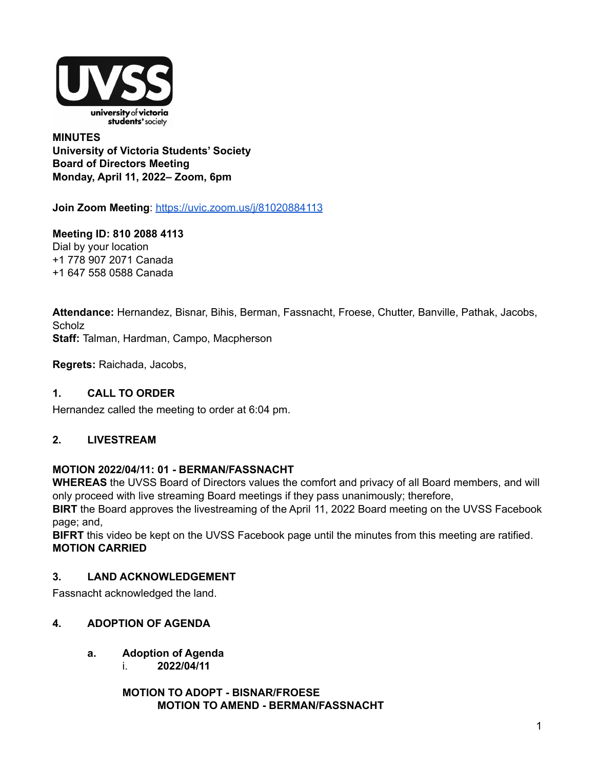

### **MINUTES University of Victoria Students' Society Board of Directors Meeting Monday, April 11, 2022– Zoom, 6pm**

**Join Zoom Meeting**: <https://uvic.zoom.us/j/81020884113>

## **Meeting ID: 810 2088 4113**

Dial by your location +1 778 907 2071 Canada +1 647 558 0588 Canada

**Attendance:** Hernandez, Bisnar, Bihis, Berman, Fassnacht, Froese, Chutter, Banville, Pathak, Jacobs, **Scholz Staff:** Talman, Hardman, Campo, Macpherson

**Regrets:** Raichada, Jacobs,

## **1. CALL TO ORDER**

Hernandez called the meeting to order at 6:04 pm.

## **2. LIVESTREAM**

### **MOTION 2022/04/11: 01 - BERMAN/FASSNACHT**

**WHEREAS** the UVSS Board of Directors values the comfort and privacy of all Board members, and will only proceed with live streaming Board meetings if they pass unanimously; therefore,

**BIRT** the Board approves the livestreaming of the April 11, 2022 Board meeting on the UVSS Facebook page; and,

**BIFRT** this video be kept on the UVSS Facebook page until the minutes from this meeting are ratified. **MOTION CARRIED**

## **3. LAND ACKNOWLEDGEMENT**

Fassnacht acknowledged the land.

## **4. ADOPTION OF AGENDA**

- **a. Adoption of Agenda**
	- i. **2022/04/11**

**MOTION TO ADOPT - BISNAR/FROESE MOTION TO AMEND - BERMAN/FASSNACHT**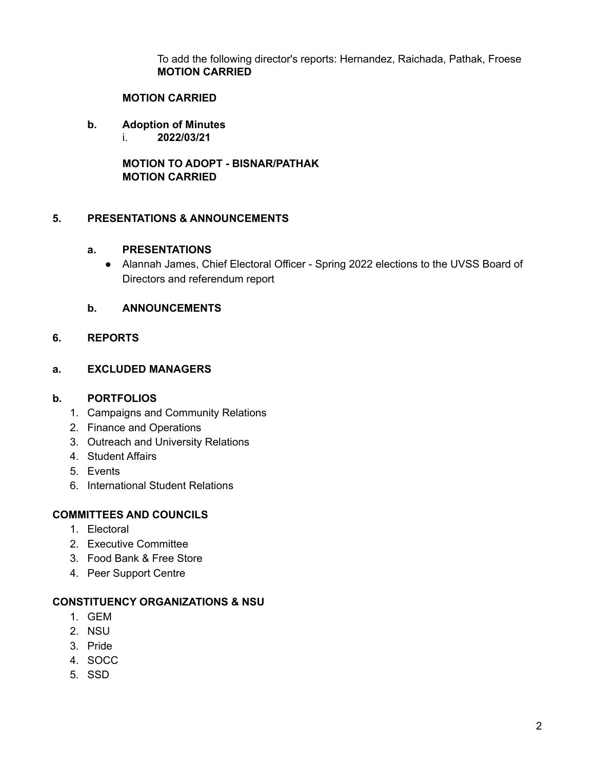To add the following director's reports: Hernandez, Raichada, Pathak, Froese **MOTION CARRIED**

#### **MOTION CARRIED**

- **b. Adoption of Minutes**
	- i. **2022/03/21**

**MOTION TO ADOPT - BISNAR/PATHAK MOTION CARRIED**

### **5. PRESENTATIONS & ANNOUNCEMENTS**

### **a. PRESENTATIONS**

● Alannah James, Chief Electoral Officer - Spring 2022 elections to the UVSS Board of Directors and referendum report

### **b. ANNOUNCEMENTS**

### **6. REPORTS**

### **a. EXCLUDED MANAGERS**

### **b. PORTFOLIOS**

- 1. Campaigns and Community Relations
- 2. Finance and Operations
- 3. Outreach and University Relations
- 4. Student Affairs
- 5. Events
- 6. International Student Relations

### **COMMITTEES AND COUNCILS**

- 1. Electoral
- 2. Executive Committee
- 3. Food Bank & Free Store
- 4. Peer Support Centre

### **CONSTITUENCY ORGANIZATIONS & NSU**

- 1. GEM
- 2. NSU
- 3. Pride
- 4. SOCC
- 5. SSD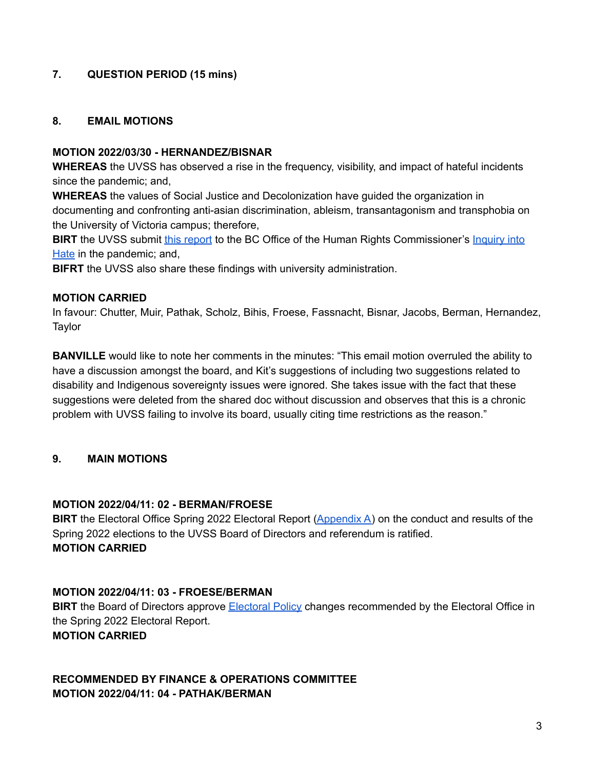## **7. QUESTION PERIOD (15 mins)**

### **8. EMAIL MOTIONS**

#### **MOTION 2022/03/30 - HERNANDEZ/BISNAR**

**WHEREAS** the UVSS has observed a rise in the frequency, visibility, and impact of hateful incidents since the pandemic; and,

**WHEREAS** the values of Social Justice and Decolonization have guided the organization in documenting and confronting anti-asian discrimination, ableism, transantagonism and transphobia on the University of Victoria campus; therefore,

**BIRT** the UVSS submit this [report](https://docs.google.com/document/d/17znz3rYZZzj2EEeKFix6V9bqEYaeXwV4dUz5x70eKw0/edit) to the BC Office of the Human Rights Commissioner's [Inquiry](https://hateinquiry.bchumanrights.ca/make-submissions/) into [Hate](https://hateinquiry.bchumanrights.ca/make-submissions/) in the pandemic; and,

**BIFRT** the UVSS also share these findings with university administration.

#### **MOTION CARRIED**

In favour: Chutter, Muir, Pathak, Scholz, Bihis, Froese, Fassnacht, Bisnar, Jacobs, Berman, Hernandez, **Taylor** 

**BANVILLE** would like to note her comments in the minutes: "This email motion overruled the ability to have a discussion amongst the board, and Kit's suggestions of including two suggestions related to disability and Indigenous sovereignty issues were ignored. She takes issue with the fact that these suggestions were deleted from the shared doc without discussion and observes that this is a chronic problem with UVSS failing to involve its board, usually citing time restrictions as the reason."

### **9. MAIN MOTIONS**

### **MOTION 2022/04/11: 02 - BERMAN/FROESE**

**BIRT** the Electoral Office Spring 2022 Electoral Report [\(Appendix](https://uvss.ca/wp-content/uploads/2022/04/Electoral-Report-Spring-2022.pdf) A) on the conduct and results of the Spring 2022 elections to the UVSS Board of Directors and referendum is ratified. **MOTION CARRIED**

### **MOTION 2022/04/11: 03 - FROESE/BERMAN**

**BIRT** the Board of Directors approve [Electoral](https://docs.google.com/document/d/1C5jKzch2-r7te-tzpfenty5uFEPWa4jec0YOlInNDsw/edit) Policy changes recommended by the Electoral Office in the Spring 2022 Electoral Report. **MOTION CARRIED**

**RECOMMENDED BY FINANCE & OPERATIONS COMMITTEE MOTION 2022/04/11: 04 - PATHAK/BERMAN**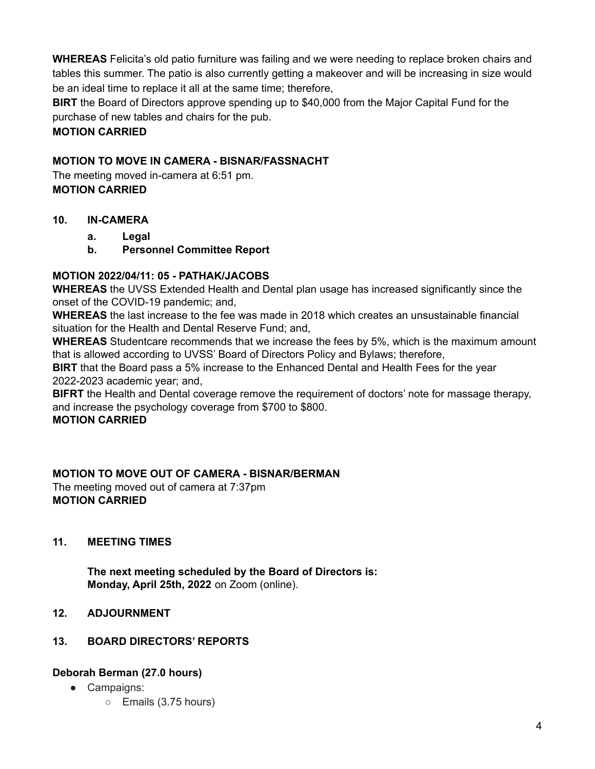**WHEREAS** Felicita's old patio furniture was failing and we were needing to replace broken chairs and tables this summer. The patio is also currently getting a makeover and will be increasing in size would be an ideal time to replace it all at the same time; therefore,

**BIRT** the Board of Directors approve spending up to \$40,000 from the Major Capital Fund for the purchase of new tables and chairs for the pub.

# **MOTION CARRIED**

# **MOTION TO MOVE IN CAMERA - BISNAR/FASSNACHT**

The meeting moved in-camera at 6:51 pm. **MOTION CARRIED**

## **10. IN-CAMERA**

- **a. Legal**
- **b. Personnel Committee Report**

# **MOTION 2022/04/11: 05 - PATHAK/JACOBS**

**WHEREAS** the UVSS Extended Health and Dental plan usage has increased significantly since the onset of the COVID-19 pandemic; and,

**WHEREAS** the last increase to the fee was made in 2018 which creates an unsustainable financial situation for the Health and Dental Reserve Fund; and,

**WHEREAS** Studentcare recommends that we increase the fees by 5%, which is the maximum amount that is allowed according to UVSS' Board of Directors Policy and Bylaws; therefore,

**BIRT** that the Board pass a 5% increase to the Enhanced Dental and Health Fees for the year 2022-2023 academic year; and,

**BIFRT** the Health and Dental coverage remove the requirement of doctors' note for massage therapy, and increase the psychology coverage from \$700 to \$800.

## **MOTION CARRIED**

## **MOTION TO MOVE OUT OF CAMERA - BISNAR/BERMAN**

The meeting moved out of camera at 7:37pm **MOTION CARRIED**

## **11. MEETING TIMES**

**The next meeting scheduled by the Board of Directors is: Monday, April 25th, 2022** on Zoom (online).

## **12. ADJOURNMENT**

## **13. BOARD DIRECTORS' REPORTS**

# **Deborah Berman (27.0 hours)**

- Campaigns:
	- Emails (3.75 hours)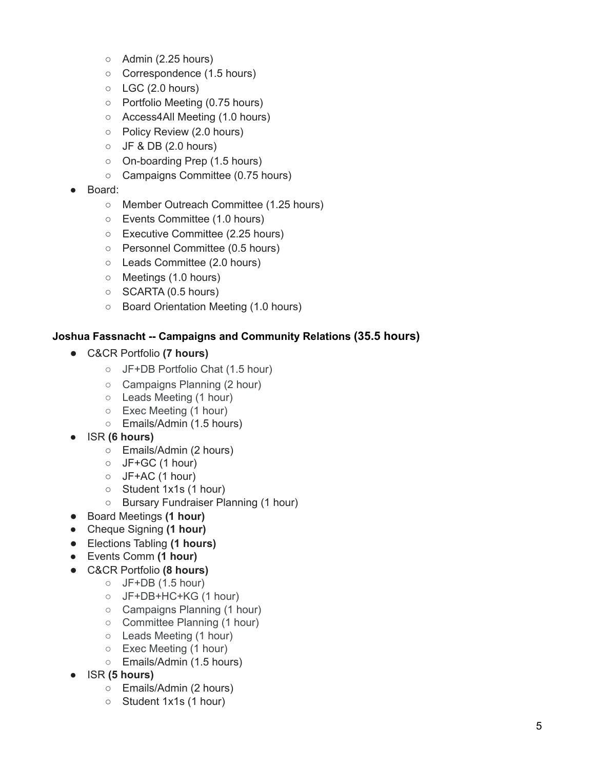- Admin (2.25 hours)
- Correspondence (1.5 hours)
- $\circ$  LGC (2.0 hours)
- Portfolio Meeting (0.75 hours)
- Access4All Meeting (1.0 hours)
- Policy Review (2.0 hours)
- $\circ$  JF & DB (2.0 hours)
- On-boarding Prep (1.5 hours)
- Campaigns Committee (0.75 hours)
- Board:
	- Member Outreach Committee (1.25 hours)
	- Events Committee (1.0 hours)
	- Executive Committee (2.25 hours)
	- Personnel Committee (0.5 hours)
	- Leads Committee (2.0 hours)
	- Meetings (1.0 hours)
	- SCARTA (0.5 hours)
	- Board Orientation Meeting (1.0 hours)

## **Joshua Fassnacht -- Campaigns and Community Relations (35.5 hours)**

- C&CR Portfolio **(7 hours)**
	- JF+DB Portfolio Chat (1.5 hour)
	- Campaigns Planning (2 hour)
	- Leads Meeting (1 hour)
	- Exec Meeting (1 hour)
	- Emails/Admin (1.5 hours)
- ISR **(6 hours)**
	- Emails/Admin (2 hours)
	- $O$  JF+GC (1 hour)
	- $O$  JF+AC (1 hour)
	- Student 1x1s (1 hour)
	- Bursary Fundraiser Planning (1 hour)
- Board Meetings **(1 hour)**
- Cheque Signing **(1 hour)**
- Elections Tabling **(1 hours)**
- **●** Events Comm **(1 hour)**
- C&CR Portfolio **(8 hours)**
	- $O$  JF+DB (1.5 hour)
	- JF+DB+HC+KG (1 hour)
	- Campaigns Planning (1 hour)
	- Committee Planning (1 hour)
	- Leads Meeting (1 hour)
	- Exec Meeting (1 hour)
	- Emails/Admin (1.5 hours)
- ISR **(5 hours)**
	- Emails/Admin (2 hours)
	- Student 1x1s (1 hour)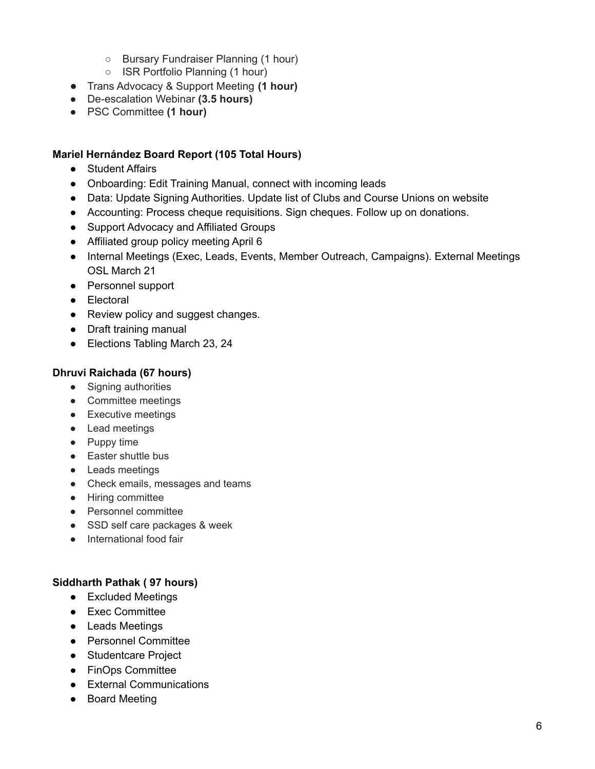- Bursary Fundraiser Planning (1 hour)
- ISR Portfolio Planning (1 hour)
- Trans Advocacy & Support Meeting **(1 hour)**
- De-escalation Webinar **(3.5 hours)**
- PSC Committee **(1 hour)**

### **Mariel Hernández Board Report (105 Total Hours)**

- Student Affairs
- Onboarding: Edit Training Manual, connect with incoming leads
- Data: Update Signing Authorities. Update list of Clubs and Course Unions on website
- Accounting: Process cheque requisitions. Sign cheques. Follow up on donations.
- Support Advocacy and Affiliated Groups
- Affiliated group policy meeting April 6
- Internal Meetings (Exec, Leads, Events, Member Outreach, Campaigns). External Meetings OSL March 21
- Personnel support
- Electoral
- Review policy and suggest changes.
- Draft training manual
- Elections Tabling March 23, 24

### **Dhruvi Raichada (67 hours)**

- Signing authorities
- Committee meetings
- Executive meetings
- Lead meetings
- Puppy time
- Easter shuttle bus
- Leads meetings
- Check emails, messages and teams
- Hiring committee
- Personnel committee
- SSD self care packages & week
- International food fair

### **Siddharth Pathak ( 97 hours)**

- Excluded Meetings
- Exec Committee
- Leads Meetings
- Personnel Committee
- Studentcare Project
- FinOps Committee
- External Communications
- Board Meeting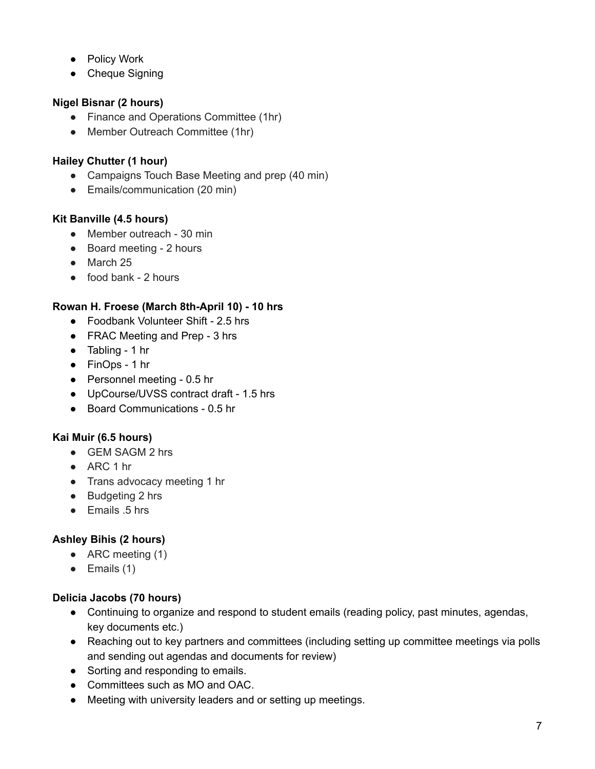- Policy Work
- Cheque Signing

# **Nigel Bisnar (2 hours)**

- Finance and Operations Committee (1hr)
- Member Outreach Committee (1hr)

## **Hailey Chutter (1 hour)**

- Campaigns Touch Base Meeting and prep (40 min)
- Emails/communication (20 min)

## **Kit Banville (4.5 hours)**

- Member outreach 30 min
- Board meeting 2 hours
- March 25
- $\bullet$  food bank 2 hours

## **Rowan H. Froese (March 8th-April 10) - 10 hrs**

- Foodbank Volunteer Shift 2.5 hrs
- FRAC Meeting and Prep 3 hrs
- Tabling 1 hr
- FinOps 1 hr
- Personnel meeting 0.5 hr
- UpCourse/UVSS contract draft 1.5 hrs
- Board Communications 0.5 hr

# **Kai Muir (6.5 hours)**

- GEM SAGM 2 hrs
- ARC 1 hr
- Trans advocacy meeting 1 hr
- Budgeting 2 hrs
- Emails 5 hrs

# **Ashley Bihis (2 hours)**

- $\bullet$  ARC meeting (1)
- $\bullet$  Emails (1)

# **Delicia Jacobs (70 hours)**

- Continuing to organize and respond to student emails (reading policy, past minutes, agendas, key documents etc.)
- Reaching out to key partners and committees (including setting up committee meetings via polls and sending out agendas and documents for review)
- Sorting and responding to emails.
- Committees such as MO and OAC.
- Meeting with university leaders and or setting up meetings.